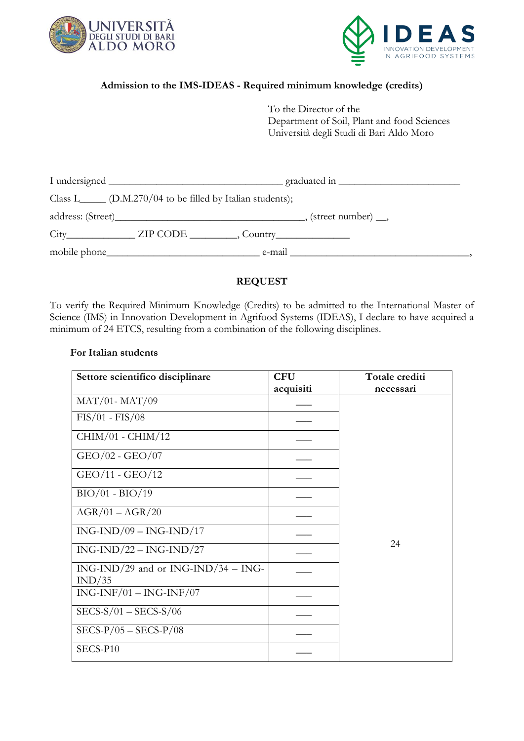



## **Admission to the IMS-IDEAS - Required minimum knowledge (credits)**

To the Director of the Department of Soil, Plant and food Sciences Università degli Studi di Bari Aldo Moro

|                                                                                                                                       | graduated in $\frac{1}{\sqrt{1-\frac{1}{2}}}\left\vert \frac{1}{\sqrt{1-\frac{1}{2}}}\right\vert$ |
|---------------------------------------------------------------------------------------------------------------------------------------|---------------------------------------------------------------------------------------------------|
| Class L_____ $(D.M.270/04$ to be filled by Italian students);                                                                         |                                                                                                   |
|                                                                                                                                       |                                                                                                   |
|                                                                                                                                       |                                                                                                   |
| mobile phone_<br><u> 1989 - Johann Stein, mars an deutscher Stein und der Stein und der Stein und der Stein und der Stein und der</u> | e-mail                                                                                            |

## **REQUEST**

To verify the Required Minimum Knowledge (Credits) to be admitted to the International Master of Science (IMS) in Innovation Development in Agrifood Systems (IDEAS), I declare to have acquired a minimum of 24 ETCS, resulting from a combination of the following disciplines.

## **For Italian students**

| Settore scientifico disciplinare                | <b>CFU</b> | Totale crediti |  |
|-------------------------------------------------|------------|----------------|--|
|                                                 | acquisiti  | necessari      |  |
| $MAT/01-MAT/09$                                 |            |                |  |
| $FIS/01 - FIS/08$                               |            |                |  |
| $CHIM/01 - CHIM/12$                             |            |                |  |
| $GEO/02 - GEO/07$                               |            |                |  |
| GEO/11 - GEO/12                                 |            |                |  |
| $BIO/01 - BIO/19$                               |            |                |  |
| $AGR/01 - AGR/20$                               |            |                |  |
| $ING-IND/09-ING-IND/17$                         |            |                |  |
| $ING-IND/22-ING-IND/27$                         |            | 24             |  |
| $ING-IND/29$ and or $ING-IND/34-ING-$<br>IND/35 |            |                |  |
| $ING-INF/01 - ING-INF/07$                       |            |                |  |
| $SECS-S/01 - SECS-S/06$                         |            |                |  |
| $SECS-P/05 - SECS-P/08$                         |            |                |  |
| SECS-P10                                        |            |                |  |